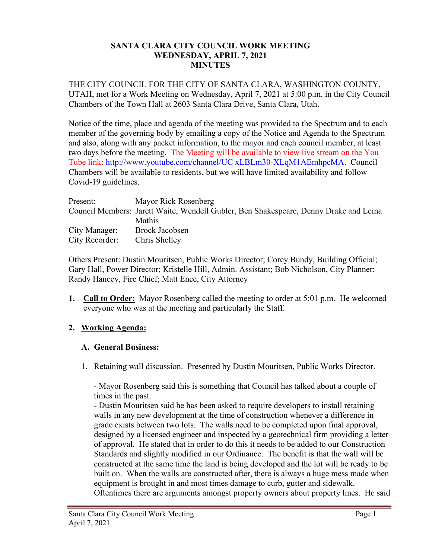#### **SANTA CLARA CITY COUNCIL WORK MEETING WEDNESDAY, APRIL 7, 2021 MINUTES**

THE CITY COUNCIL FOR THE CITY OF SANTA CLARA, WASHINGTON COUNTY, UTAH, met for a Work Meeting on Wednesday, April 7, 2021 at 5:00 p.m. in the City Council Chambers of the Town Hall at 2603 Santa Clara Drive, Santa Clara, Utah.

Notice of the time, place and agenda of the meeting was provided to the Spectrum and to each member of the governing body by emailing a copy of the Notice and Agenda to the Spectrum and also, along with any packet information, to the mayor and each council member, at least two days before the meeting. The Meeting will be available to view live stream on the You Tube link: http://www.youtube.com/channel/UC xLBLm30-XLqM1AEmhpcMA. Council Chambers will be available to residents, but we will have limited availability and follow Covid-19 guidelines.

| Present:       | Mayor Rick Rosenberg                                                                  |
|----------------|---------------------------------------------------------------------------------------|
|                | Council Members: Jarett Waite, Wendell Gubler, Ben Shakespeare, Denny Drake and Leina |
|                | Mathis                                                                                |
| City Manager:  | Brock Jacobsen                                                                        |
| City Recorder: | Chris Shelley                                                                         |

Others Present: Dustin Mouritsen, Public Works Director; Corey Bundy, Building Official; Gary Hall, Power Director; Kristelle Hill, Admin. Assistant; Bob Nicholson, City Planner; Randy Hancey, Fire Chief; Matt Ence, City Attorney

**1. Call to Order:** Mayor Rosenberg called the meeting to order at 5:01 p.m. He welcomed everyone who was at the meeting and particularly the Staff.

### **2. Working Agenda:**

### **A. General Business:**

1. Retaining wall discussion. Presented by Dustin Mouritsen, Public Works Director.

- Mayor Rosenberg said this is something that Council has talked about a couple of times in the past.

- Dustin Mouritsen said he has been asked to require developers to install retaining walls in any new development at the time of construction whenever a difference in grade exists between two lots. The walls need to be completed upon final approval, designed by a licensed engineer and inspected by a geotechnical firm providing a letter of approval. He stated that in order to do this it needs to be added to our Construction Standards and slightly modified in our Ordinance. The benefit is that the wall will be constructed at the same time the land is being developed and the lot will be ready to be built on. When the walls are constructed after, there is always a huge mess made when equipment is brought in and most times damage to curb, gutter and sidewalk. Oftentimes there are arguments amongst property owners about property lines. He said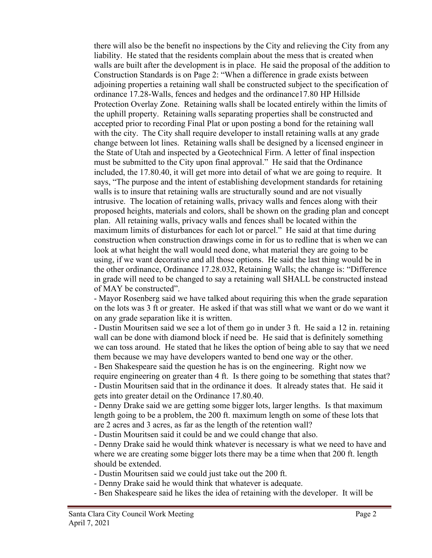there will also be the benefit no inspections by the City and relieving the City from any liability. He stated that the residents complain about the mess that is created when walls are built after the development is in place. He said the proposal of the addition to Construction Standards is on Page 2: "When a difference in grade exists between adjoining properties a retaining wall shall be constructed subject to the specification of ordinance 17.28-Walls, fences and hedges and the ordinance17.80 HP Hillside Protection Overlay Zone. Retaining walls shall be located entirely within the limits of the uphill property. Retaining walls separating properties shall be constructed and accepted prior to recording Final Plat or upon posting a bond for the retaining wall with the city. The City shall require developer to install retaining walls at any grade change between lot lines. Retaining walls shall be designed by a licensed engineer in the State of Utah and inspected by a Geotechnical Firm. A letter of final inspection must be submitted to the City upon final approval." He said that the Ordinance included, the 17.80.40, it will get more into detail of what we are going to require. It says, "The purpose and the intent of establishing development standards for retaining walls is to insure that retaining walls are structurally sound and are not visually intrusive. The location of retaining walls, privacy walls and fences along with their proposed heights, materials and colors, shall be shown on the grading plan and concept plan. All retaining walls, privacy walls and fences shall be located within the maximum limits of disturbances for each lot or parcel." He said at that time during construction when construction drawings come in for us to redline that is when we can look at what height the wall would need done, what material they are going to be using, if we want decorative and all those options. He said the last thing would be in the other ordinance, Ordinance 17.28.032, Retaining Walls; the change is: "Difference in grade will need to be changed to say a retaining wall SHALL be constructed instead of MAY be constructed".

- Mayor Rosenberg said we have talked about requiring this when the grade separation on the lots was 3 ft or greater. He asked if that was still what we want or do we want it on any grade separation like it is written.

- Dustin Mouritsen said we see a lot of them go in under 3 ft. He said a 12 in. retaining wall can be done with diamond block if need be. He said that is definitely something we can toss around. He stated that he likes the option of being able to say that we need them because we may have developers wanted to bend one way or the other.

- Ben Shakespeare said the question he has is on the engineering. Right now we require engineering on greater than 4 ft. Is there going to be something that states that? - Dustin Mouritsen said that in the ordinance it does. It already states that. He said it gets into greater detail on the Ordinance 17.80.40.

- Denny Drake said we are getting some bigger lots, larger lengths. Is that maximum length going to be a problem, the 200 ft. maximum length on some of these lots that are 2 acres and 3 acres, as far as the length of the retention wall?

- Dustin Mouritsen said it could be and we could change that also.

- Denny Drake said he would think whatever is necessary is what we need to have and where we are creating some bigger lots there may be a time when that 200 ft. length should be extended.

- Dustin Mouritsen said we could just take out the 200 ft.

- Denny Drake said he would think that whatever is adequate.

- Ben Shakespeare said he likes the idea of retaining with the developer. It will be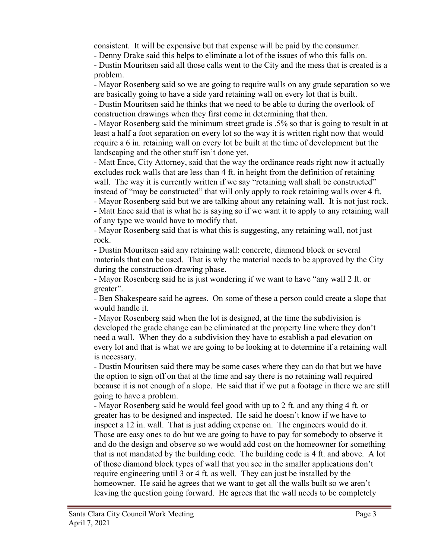consistent. It will be expensive but that expense will be paid by the consumer.

- Denny Drake said this helps to eliminate a lot of the issues of who this falls on.

- Dustin Mouritsen said all those calls went to the City and the mess that is created is a problem.

- Mayor Rosenberg said so we are going to require walls on any grade separation so we are basically going to have a side yard retaining wall on every lot that is built. - Dustin Mouritsen said he thinks that we need to be able to during the overlook of construction drawings when they first come in determining that then.

- Mayor Rosenberg said the minimum street grade is .5% so that is going to result in at least a half a foot separation on every lot so the way it is written right now that would require a 6 in. retaining wall on every lot be built at the time of development but the landscaping and the other stuff isn't done yet.

- Matt Ence, City Attorney, said that the way the ordinance reads right now it actually excludes rock walls that are less than 4 ft. in height from the definition of retaining wall. The way it is currently written if we say "retaining wall shall be constructed" instead of "may be constructed" that will only apply to rock retaining walls over 4 ft.

- Mayor Rosenberg said but we are talking about any retaining wall. It is not just rock. - Matt Ence said that is what he is saying so if we want it to apply to any retaining wall of any type we would have to modify that.

- Mayor Rosenberg said that is what this is suggesting, any retaining wall, not just rock.

- Dustin Mouritsen said any retaining wall: concrete, diamond block or several materials that can be used. That is why the material needs to be approved by the City during the construction-drawing phase.

- Mayor Rosenberg said he is just wondering if we want to have "any wall 2 ft. or greater".

- Ben Shakespeare said he agrees. On some of these a person could create a slope that would handle it.

- Mayor Rosenberg said when the lot is designed, at the time the subdivision is developed the grade change can be eliminated at the property line where they don't need a wall. When they do a subdivision they have to establish a pad elevation on every lot and that is what we are going to be looking at to determine if a retaining wall is necessary.

- Dustin Mouritsen said there may be some cases where they can do that but we have the option to sign off on that at the time and say there is no retaining wall required because it is not enough of a slope. He said that if we put a footage in there we are still going to have a problem.

- Mayor Rosenberg said he would feel good with up to 2 ft. and any thing 4 ft. or greater has to be designed and inspected. He said he doesn't know if we have to inspect a 12 in. wall. That is just adding expense on. The engineers would do it. Those are easy ones to do but we are going to have to pay for somebody to observe it and do the design and observe so we would add cost on the homeowner for something that is not mandated by the building code. The building code is 4 ft. and above. A lot of those diamond block types of wall that you see in the smaller applications don't require engineering until 3 or 4 ft. as well. They can just be installed by the homeowner. He said he agrees that we want to get all the walls built so we aren't leaving the question going forward. He agrees that the wall needs to be completely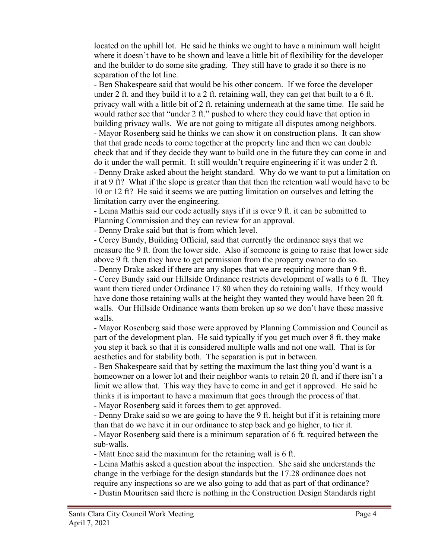located on the uphill lot. He said he thinks we ought to have a minimum wall height where it doesn't have to be shown and leave a little bit of flexibility for the developer and the builder to do some site grading. They still have to grade it so there is no separation of the lot line.

- Ben Shakespeare said that would be his other concern. If we force the developer under 2 ft. and they build it to a 2 ft. retaining wall, they can get that built to a 6 ft. privacy wall with a little bit of 2 ft. retaining underneath at the same time. He said he would rather see that "under 2 ft." pushed to where they could have that option in building privacy walls. We are not going to mitigate all disputes among neighbors. - Mayor Rosenberg said he thinks we can show it on construction plans. It can show that that grade needs to come together at the property line and then we can double check that and if they decide they want to build one in the future they can come in and do it under the wall permit. It still wouldn't require engineering if it was under 2 ft. - Denny Drake asked about the height standard. Why do we want to put a limitation on it at 9 ft? What if the slope is greater than that then the retention wall would have to be 10 or 12 ft? He said it seems we are putting limitation on ourselves and letting the limitation carry over the engineering.

- Leina Mathis said our code actually says if it is over 9 ft. it can be submitted to Planning Commission and they can review for an approval.

- Denny Drake said but that is from which level.

- Corey Bundy, Building Official, said that currently the ordinance says that we measure the 9 ft. from the lower side. Also if someone is going to raise that lower side above 9 ft. then they have to get permission from the property owner to do so.

- Denny Drake asked if there are any slopes that we are requiring more than 9 ft. - Corey Bundy said our Hillside Ordinance restricts development of walls to 6 ft. They want them tiered under Ordinance 17.80 when they do retaining walls. If they would have done those retaining walls at the height they wanted they would have been 20 ft. walls. Our Hillside Ordinance wants them broken up so we don't have these massive walls.

- Mayor Rosenberg said those were approved by Planning Commission and Council as part of the development plan. He said typically if you get much over 8 ft. they make you step it back so that it is considered multiple walls and not one wall. That is for aesthetics and for stability both. The separation is put in between.

- Ben Shakespeare said that by setting the maximum the last thing you'd want is a homeowner on a lower lot and their neighbor wants to retain 20 ft. and if there isn't a limit we allow that. This way they have to come in and get it approved. He said he thinks it is important to have a maximum that goes through the process of that. - Mayor Rosenberg said it forces them to get approved.

- Denny Drake said so we are going to have the 9 ft. height but if it is retaining more than that do we have it in our ordinance to step back and go higher, to tier it.

- Mayor Rosenberg said there is a minimum separation of 6 ft. required between the sub-walls.

- Matt Ence said the maximum for the retaining wall is 6 ft.

- Leina Mathis asked a question about the inspection. She said she understands the change in the verbiage for the design standards but the 17.28 ordinance does not require any inspections so are we also going to add that as part of that ordinance?

- Dustin Mouritsen said there is nothing in the Construction Design Standards right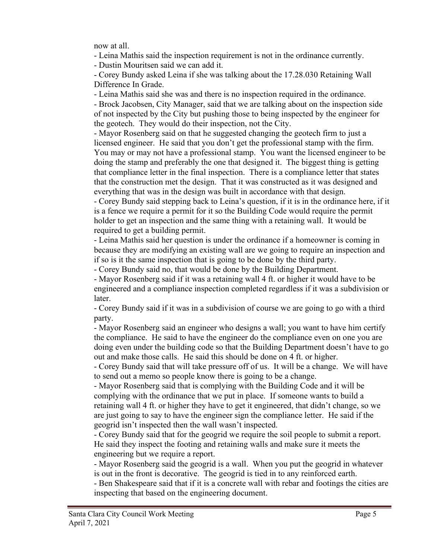now at all.

- Leina Mathis said the inspection requirement is not in the ordinance currently.

- Dustin Mouritsen said we can add it.

- Corey Bundy asked Leina if she was talking about the 17.28.030 Retaining Wall Difference In Grade.

- Leina Mathis said she was and there is no inspection required in the ordinance. - Brock Jacobsen, City Manager, said that we are talking about on the inspection side of not inspected by the City but pushing those to being inspected by the engineer for the geotech. They would do their inspection, not the City.

- Mayor Rosenberg said on that he suggested changing the geotech firm to just a licensed engineer. He said that you don't get the professional stamp with the firm. You may or may not have a professional stamp. You want the licensed engineer to be doing the stamp and preferably the one that designed it. The biggest thing is getting that compliance letter in the final inspection. There is a compliance letter that states that the construction met the design. That it was constructed as it was designed and everything that was in the design was built in accordance with that design.

- Corey Bundy said stepping back to Leina's question, if it is in the ordinance here, if it is a fence we require a permit for it so the Building Code would require the permit holder to get an inspection and the same thing with a retaining wall. It would be required to get a building permit.

- Leina Mathis said her question is under the ordinance if a homeowner is coming in because they are modifying an existing wall are we going to require an inspection and if so is it the same inspection that is going to be done by the third party.

- Corey Bundy said no, that would be done by the Building Department.

- Mayor Rosenberg said if it was a retaining wall 4 ft. or higher it would have to be engineered and a compliance inspection completed regardless if it was a subdivision or later.

- Corey Bundy said if it was in a subdivision of course we are going to go with a third party.

- Mayor Rosenberg said an engineer who designs a wall; you want to have him certify the compliance. He said to have the engineer do the compliance even on one you are doing even under the building code so that the Building Department doesn't have to go out and make those calls. He said this should be done on 4 ft. or higher.

- Corey Bundy said that will take pressure off of us. It will be a change. We will have to send out a memo so people know there is going to be a change.

- Mayor Rosenberg said that is complying with the Building Code and it will be complying with the ordinance that we put in place. If someone wants to build a retaining wall 4 ft. or higher they have to get it engineered, that didn't change, so we are just going to say to have the engineer sign the compliance letter. He said if the geogrid isn't inspected then the wall wasn't inspected.

- Corey Bundy said that for the geogrid we require the soil people to submit a report. He said they inspect the footing and retaining walls and make sure it meets the engineering but we require a report.

- Mayor Rosenberg said the geogrid is a wall. When you put the geogrid in whatever is out in the front is decorative. The geogrid is tied in to any reinforced earth.

- Ben Shakespeare said that if it is a concrete wall with rebar and footings the cities are inspecting that based on the engineering document.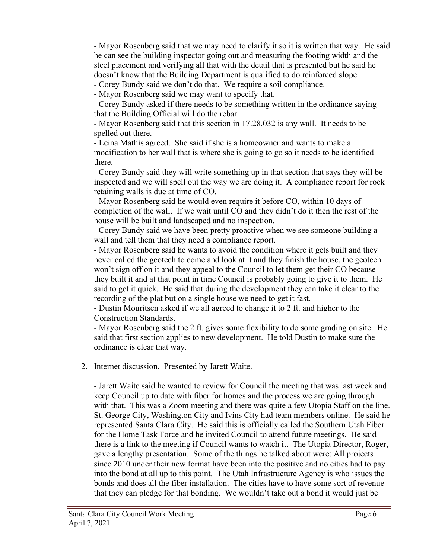- Mayor Rosenberg said that we may need to clarify it so it is written that way. He said he can see the building inspector going out and measuring the footing width and the steel placement and verifying all that with the detail that is presented but he said he doesn't know that the Building Department is qualified to do reinforced slope.

- Corey Bundy said we don't do that. We require a soil compliance.

- Mayor Rosenberg said we may want to specify that.

- Corey Bundy asked if there needs to be something written in the ordinance saying that the Building Official will do the rebar.

- Mayor Rosenberg said that this section in 17.28.032 is any wall. It needs to be spelled out there.

- Leina Mathis agreed. She said if she is a homeowner and wants to make a modification to her wall that is where she is going to go so it needs to be identified there.

- Corey Bundy said they will write something up in that section that says they will be inspected and we will spell out the way we are doing it. A compliance report for rock retaining walls is due at time of CO.

- Mayor Rosenberg said he would even require it before CO, within 10 days of completion of the wall. If we wait until CO and they didn't do it then the rest of the house will be built and landscaped and no inspection.

- Corey Bundy said we have been pretty proactive when we see someone building a wall and tell them that they need a compliance report.

- Mayor Rosenberg said he wants to avoid the condition where it gets built and they never called the geotech to come and look at it and they finish the house, the geotech won't sign off on it and they appeal to the Council to let them get their CO because they built it and at that point in time Council is probably going to give it to them. He said to get it quick. He said that during the development they can take it clear to the recording of the plat but on a single house we need to get it fast.

- Dustin Mouritsen asked if we all agreed to change it to 2 ft. and higher to the Construction Standards.

- Mayor Rosenberg said the 2 ft. gives some flexibility to do some grading on site. He said that first section applies to new development. He told Dustin to make sure the ordinance is clear that way.

2. Internet discussion. Presented by Jarett Waite.

- Jarett Waite said he wanted to review for Council the meeting that was last week and keep Council up to date with fiber for homes and the process we are going through with that. This was a Zoom meeting and there was quite a few Utopia Staff on the line. St. George City, Washington City and Ivins City had team members online. He said he represented Santa Clara City. He said this is officially called the Southern Utah Fiber for the Home Task Force and he invited Council to attend future meetings. He said there is a link to the meeting if Council wants to watch it. The Utopia Director, Roger, gave a lengthy presentation. Some of the things he talked about were: All projects since 2010 under their new format have been into the positive and no cities had to pay into the bond at all up to this point. The Utah Infrastructure Agency is who issues the bonds and does all the fiber installation. The cities have to have some sort of revenue that they can pledge for that bonding. We wouldn't take out a bond it would just be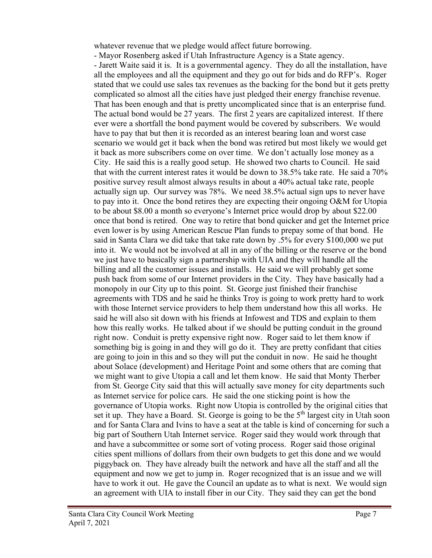whatever revenue that we pledge would affect future borrowing.

- Mayor Rosenberg asked if Utah Infrastructure Agency is a State agency. - Jarett Waite said it is. It is a governmental agency. They do all the installation, have all the employees and all the equipment and they go out for bids and do RFP's. Roger stated that we could use sales tax revenues as the backing for the bond but it gets pretty complicated so almost all the cities have just pledged their energy franchise revenue. That has been enough and that is pretty uncomplicated since that is an enterprise fund. The actual bond would be 27 years. The first 2 years are capitalized interest. If there ever were a shortfall the bond payment would be covered by subscribers. We would have to pay that but then it is recorded as an interest bearing loan and worst case scenario we would get it back when the bond was retired but most likely we would get it back as more subscribers come on over time. We don't actually lose money as a City. He said this is a really good setup. He showed two charts to Council. He said that with the current interest rates it would be down to 38.5% take rate. He said a 70% positive survey result almost always results in about a 40% actual take rate, people actually sign up. Our survey was 78%. We need 38.5% actual sign ups to never have to pay into it. Once the bond retires they are expecting their ongoing O&M for Utopia to be about \$8.00 a month so everyone's Internet price would drop by about \$22.00 once that bond is retired. One way to retire that bond quicker and get the Internet price even lower is by using American Rescue Plan funds to prepay some of that bond. He said in Santa Clara we did take that take rate down by .5% for every \$100,000 we put into it. We would not be involved at all in any of the billing or the reserve or the bond we just have to basically sign a partnership with UIA and they will handle all the billing and all the customer issues and installs. He said we will probably get some push back from some of our Internet providers in the City. They have basically had a monopoly in our City up to this point. St. George just finished their franchise agreements with TDS and he said he thinks Troy is going to work pretty hard to work with those Internet service providers to help them understand how this all works. He said he will also sit down with his friends at Infowest and TDS and explain to them how this really works. He talked about if we should be putting conduit in the ground right now. Conduit is pretty expensive right now. Roger said to let them know if something big is going in and they will go do it. They are pretty confidant that cities are going to join in this and so they will put the conduit in now. He said he thought about Solace (development) and Heritage Point and some others that are coming that we might want to give Utopia a call and let them know. He said that Monty Therber from St. George City said that this will actually save money for city departments such as Internet service for police cars. He said the one sticking point is how the governance of Utopia works. Right now Utopia is controlled by the original cities that set it up. They have a Board. St. George is going to be the  $5<sup>th</sup>$  largest city in Utah soon and for Santa Clara and Ivins to have a seat at the table is kind of concerning for such a big part of Southern Utah Internet service. Roger said they would work through that and have a subcommittee or some sort of voting process. Roger said those original cities spent millions of dollars from their own budgets to get this done and we would piggyback on. They have already built the network and have all the staff and all the equipment and now we get to jump in. Roger recognized that is an issue and we will have to work it out. He gave the Council an update as to what is next. We would sign an agreement with UIA to install fiber in our City. They said they can get the bond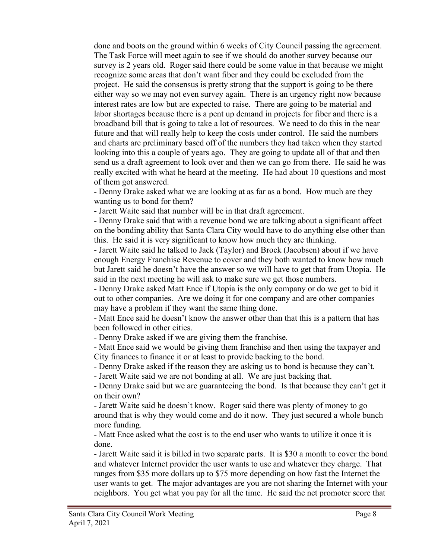done and boots on the ground within 6 weeks of City Council passing the agreement. The Task Force will meet again to see if we should do another survey because our survey is 2 years old. Roger said there could be some value in that because we might recognize some areas that don't want fiber and they could be excluded from the project. He said the consensus is pretty strong that the support is going to be there either way so we may not even survey again. There is an urgency right now because interest rates are low but are expected to raise. There are going to be material and labor shortages because there is a pent up demand in projects for fiber and there is a broadband bill that is going to take a lot of resources. We need to do this in the near future and that will really help to keep the costs under control. He said the numbers and charts are preliminary based off of the numbers they had taken when they started looking into this a couple of years ago. They are going to update all of that and then send us a draft agreement to look over and then we can go from there. He said he was really excited with what he heard at the meeting. He had about 10 questions and most of them got answered.

- Denny Drake asked what we are looking at as far as a bond. How much are they wanting us to bond for them?

- Jarett Waite said that number will be in that draft agreement.

- Denny Drake said that with a revenue bond we are talking about a significant affect on the bonding ability that Santa Clara City would have to do anything else other than this. He said it is very significant to know how much they are thinking.

- Jarett Waite said he talked to Jack (Taylor) and Brock (Jacobsen) about if we have enough Energy Franchise Revenue to cover and they both wanted to know how much but Jarett said he doesn't have the answer so we will have to get that from Utopia. He said in the next meeting he will ask to make sure we get those numbers.

- Denny Drake asked Matt Ence if Utopia is the only company or do we get to bid it out to other companies. Are we doing it for one company and are other companies may have a problem if they want the same thing done.

- Matt Ence said he doesn't know the answer other than that this is a pattern that has been followed in other cities.

- Denny Drake asked if we are giving them the franchise.

- Matt Ence said we would be giving them franchise and then using the taxpayer and City finances to finance it or at least to provide backing to the bond.

- Denny Drake asked if the reason they are asking us to bond is because they can't.

- Jarett Waite said we are not bonding at all. We are just backing that.

- Denny Drake said but we are guaranteeing the bond. Is that because they can't get it on their own?

- Jarett Waite said he doesn't know. Roger said there was plenty of money to go around that is why they would come and do it now. They just secured a whole bunch more funding.

- Matt Ence asked what the cost is to the end user who wants to utilize it once it is done.

- Jarett Waite said it is billed in two separate parts. It is \$30 a month to cover the bond and whatever Internet provider the user wants to use and whatever they charge. That ranges from \$35 more dollars up to \$75 more depending on how fast the Internet the user wants to get. The major advantages are you are not sharing the Internet with your neighbors. You get what you pay for all the time. He said the net promoter score that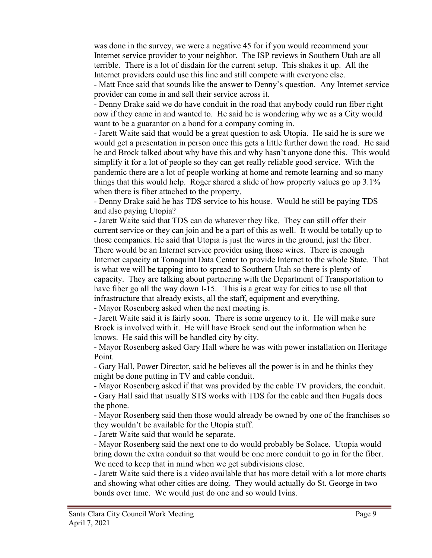was done in the survey, we were a negative 45 for if you would recommend your Internet service provider to your neighbor. The ISP reviews in Southern Utah are all terrible. There is a lot of disdain for the current setup. This shakes it up. All the Internet providers could use this line and still compete with everyone else.

- Matt Ence said that sounds like the answer to Denny's question. Any Internet service provider can come in and sell their service across it.

- Denny Drake said we do have conduit in the road that anybody could run fiber right now if they came in and wanted to. He said he is wondering why we as a City would want to be a guarantor on a bond for a company coming in.

- Jarett Waite said that would be a great question to ask Utopia. He said he is sure we would get a presentation in person once this gets a little further down the road. He said he and Brock talked about why have this and why hasn't anyone done this. This would simplify it for a lot of people so they can get really reliable good service. With the pandemic there are a lot of people working at home and remote learning and so many things that this would help. Roger shared a slide of how property values go up 3.1% when there is fiber attached to the property.

- Denny Drake said he has TDS service to his house. Would he still be paying TDS and also paying Utopia?

- Jarett Waite said that TDS can do whatever they like. They can still offer their current service or they can join and be a part of this as well. It would be totally up to those companies. He said that Utopia is just the wires in the ground, just the fiber. There would be an Internet service provider using those wires. There is enough Internet capacity at Tonaquint Data Center to provide Internet to the whole State. That is what we will be tapping into to spread to Southern Utah so there is plenty of capacity. They are talking about partnering with the Department of Transportation to have fiber go all the way down I-15. This is a great way for cities to use all that infrastructure that already exists, all the staff, equipment and everything.

- Mayor Rosenberg asked when the next meeting is.

- Jarett Waite said it is fairly soon. There is some urgency to it. He will make sure Brock is involved with it. He will have Brock send out the information when he knows. He said this will be handled city by city.

- Mayor Rosenberg asked Gary Hall where he was with power installation on Heritage Point.

- Gary Hall, Power Director, said he believes all the power is in and he thinks they might be done putting in TV and cable conduit.

- Mayor Rosenberg asked if that was provided by the cable TV providers, the conduit.

- Gary Hall said that usually STS works with TDS for the cable and then Fugals does the phone.

- Mayor Rosenberg said then those would already be owned by one of the franchises so they wouldn't be available for the Utopia stuff.

- Jarett Waite said that would be separate.

- Mayor Rosenberg said the next one to do would probably be Solace. Utopia would bring down the extra conduit so that would be one more conduit to go in for the fiber. We need to keep that in mind when we get subdivisions close.

- Jarett Waite said there is a video available that has more detail with a lot more charts and showing what other cities are doing. They would actually do St. George in two bonds over time. We would just do one and so would Ivins.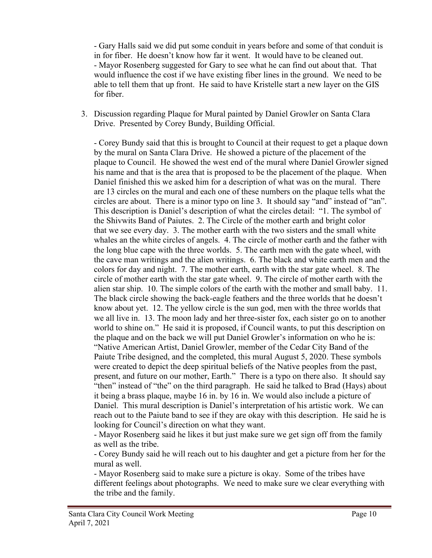- Gary Halls said we did put some conduit in years before and some of that conduit is in for fiber. He doesn't know how far it went. It would have to be cleaned out. - Mayor Rosenberg suggested for Gary to see what he can find out about that. That would influence the cost if we have existing fiber lines in the ground. We need to be able to tell them that up front. He said to have Kristelle start a new layer on the GIS for fiber.

### 3. Discussion regarding Plaque for Mural painted by Daniel Growler on Santa Clara Drive. Presented by Corey Bundy, Building Official.

- Corey Bundy said that this is brought to Council at their request to get a plaque down by the mural on Santa Clara Drive. He showed a picture of the placement of the plaque to Council. He showed the west end of the mural where Daniel Growler signed his name and that is the area that is proposed to be the placement of the plaque. When Daniel finished this we asked him for a description of what was on the mural. There are 13 circles on the mural and each one of these numbers on the plaque tells what the circles are about. There is a minor typo on line 3. It should say "and" instead of "an". This description is Daniel's description of what the circles detail: "1. The symbol of the Shivwits Band of Paiutes. 2. The Circle of the mother earth and bright color that we see every day. 3. The mother earth with the two sisters and the small white whales an the white circles of angels. 4. The circle of mother earth and the father with the long blue cape with the three worlds. 5. The earth men with the gate wheel, with the cave man writings and the alien writings. 6. The black and white earth men and the colors for day and night. 7. The mother earth, earth with the star gate wheel. 8. The circle of mother earth with the star gate wheel. 9. The circle of mother earth with the alien star ship. 10. The simple colors of the earth with the mother and small baby. 11. The black circle showing the back-eagle feathers and the three worlds that he doesn't know about yet. 12. The yellow circle is the sun god, men with the three worlds that we all live in. 13. The moon lady and her three-sister fox, each sister go on to another world to shine on." He said it is proposed, if Council wants, to put this description on the plaque and on the back we will put Daniel Growler's information on who he is: "Native American Artist, Daniel Growler, member of the Cedar City Band of the Paiute Tribe designed, and the completed, this mural August 5, 2020. These symbols were created to depict the deep spiritual beliefs of the Native peoples from the past, present, and future on our mother, Earth." There is a typo on there also. It should say "then" instead of "the" on the third paragraph. He said he talked to Brad (Hays) about it being a brass plaque, maybe 16 in. by 16 in. We would also include a picture of Daniel. This mural description is Daniel's interpretation of his artistic work. We can reach out to the Paiute band to see if they are okay with this description. He said he is looking for Council's direction on what they want.

- Mayor Rosenberg said he likes it but just make sure we get sign off from the family as well as the tribe.

- Corey Bundy said he will reach out to his daughter and get a picture from her for the mural as well.

- Mayor Rosenberg said to make sure a picture is okay. Some of the tribes have different feelings about photographs. We need to make sure we clear everything with the tribe and the family.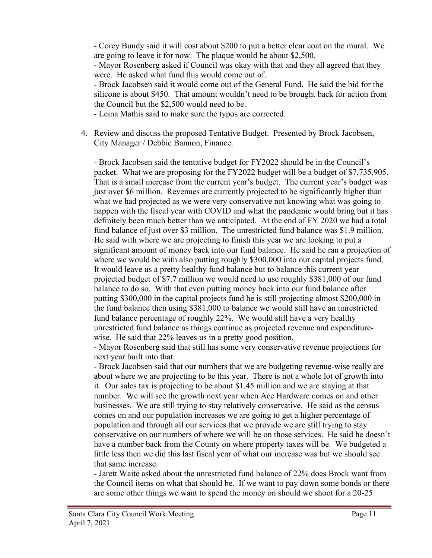- Corey Bundy said it will cost about \$200 to put a better clear coat on the mural. We are going to leave it for now. The plaque would be about \$2,500.

- Mayor Rosenberg asked if Council was okay with that and they all agreed that they were. He asked what fund this would come out of.

- Brock Jacobsen said it would come out of the General Fund. He said the bid for the silicone is about \$450. That amount wouldn't need to be brought back for action from the Council but the \$2,500 would need to be.

- Leina Mathis said to make sure the typos are corrected.

4. Review and discuss the proposed Tentative Budget. Presented by Brock Jacobsen, City Manager / Debbie Bannon, Finance.

- Brock Jacobsen said the tentative budget for FY2022 should be in the Council's packet. What we are proposing for the FY2022 budget will be a budget of \$7,735,905. That is a small increase from the current year's budget. The current year's budget was just over \$6 million. Revenues are currently projected to be significantly higher than what we had projected as we were very conservative not knowing what was going to happen with the fiscal year with COVID and what the pandemic would bring but it has definitely been much better than we anticipated. At the end of FY 2020 we had a total fund balance of just over \$3 million. The unrestricted fund balance was \$1.9 million. He said with where we are projecting to finish this year we are looking to put a significant amount of money back into our fund balance. He said he ran a projection of where we would be with also putting roughly \$300,000 into our capital projects fund. It would leave us a pretty healthy fund balance but to balance this current year projected budget of \$7.7 million we would need to use roughly \$381,000 of our fund balance to do so. With that even putting money back into our fund balance after putting \$300,000 in the capital projects fund he is still projecting almost \$200,000 in the fund balance then using \$381,000 to balance we would still have an unrestricted fund balance percentage of roughly 22%. We would still have a very healthy unrestricted fund balance as things continue as projected revenue and expenditurewise. He said that 22% leaves us in a pretty good position.

- Mayor Rosenberg said that still has some very conservative revenue projections for next year built into that.

- Brock Jacobsen said that our numbers that we are budgeting revenue-wise really are about where we are projecting to be this year. There is not a whole lot of growth into it. Our sales tax is projecting to be about \$1.45 million and we are staying at that number. We will see the growth next year when Ace Hardware comes on and other businesses. We are still trying to stay relatively conservative. He said as the census comes on and our population increases we are going to get a higher percentage of population and through all our services that we provide we are still trying to stay conservative on our numbers of where we will be on those services. He said he doesn't have a number back from the County on where property taxes will be. We budgeted a little less then we did this last fiscal year of what our increase was but we should see that same increase.

- Jarett Waite asked about the unrestricted fund balance of 22% does Brock want from the Council items on what that should be. If we want to pay down some bonds or there are some other things we want to spend the money on should we shoot for a 20-25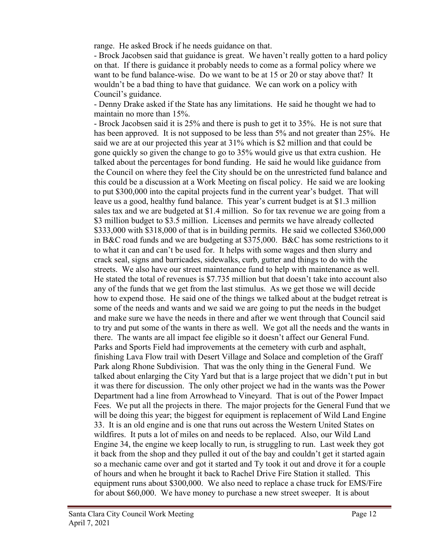range. He asked Brock if he needs guidance on that.

- Brock Jacobsen said that guidance is great. We haven't really gotten to a hard policy on that. If there is guidance it probably needs to come as a formal policy where we want to be fund balance-wise. Do we want to be at 15 or 20 or stay above that? It wouldn't be a bad thing to have that guidance. We can work on a policy with Council's guidance.

- Denny Drake asked if the State has any limitations. He said he thought we had to maintain no more than 15%.

- Brock Jacobsen said it is 25% and there is push to get it to 35%. He is not sure that has been approved. It is not supposed to be less than 5% and not greater than 25%. He said we are at our projected this year at 31% which is \$2 million and that could be gone quickly so given the change to go to 35% would give us that extra cushion. He talked about the percentages for bond funding. He said he would like guidance from the Council on where they feel the City should be on the unrestricted fund balance and this could be a discussion at a Work Meeting on fiscal policy. He said we are looking to put \$300,000 into the capital projects fund in the current year's budget. That will leave us a good, healthy fund balance. This year's current budget is at \$1.3 million sales tax and we are budgeted at \$1.4 million. So for tax revenue we are going from a \$3 million budget to \$3.5 million. Licenses and permits we have already collected \$333,000 with \$318,000 of that is in building permits. He said we collected \$360,000 in B&C road funds and we are budgeting at \$375,000. B&C has some restrictions to it to what it can and can't be used for. It helps with some wages and then slurry and crack seal, signs and barricades, sidewalks, curb, gutter and things to do with the streets. We also have our street maintenance fund to help with maintenance as well. He stated the total of revenues is \$7.735 million but that doesn't take into account also any of the funds that we get from the last stimulus. As we get those we will decide how to expend those. He said one of the things we talked about at the budget retreat is some of the needs and wants and we said we are going to put the needs in the budget and make sure we have the needs in there and after we went through that Council said to try and put some of the wants in there as well. We got all the needs and the wants in there. The wants are all impact fee eligible so it doesn't affect our General Fund. Parks and Sports Field had improvements at the cemetery with curb and asphalt, finishing Lava Flow trail with Desert Village and Solace and completion of the Graff Park along Rhone Subdivision. That was the only thing in the General Fund. We talked about enlarging the City Yard but that is a large project that we didn't put in but it was there for discussion. The only other project we had in the wants was the Power Department had a line from Arrowhead to Vineyard. That is out of the Power Impact Fees. We put all the projects in there. The major projects for the General Fund that we will be doing this year; the biggest for equipment is replacement of Wild Land Engine 33. It is an old engine and is one that runs out across the Western United States on wildfires. It puts a lot of miles on and needs to be replaced. Also, our Wild Land Engine 34, the engine we keep locally to run, is struggling to run. Last week they got it back from the shop and they pulled it out of the bay and couldn't get it started again so a mechanic came over and got it started and Ty took it out and drove it for a couple of hours and when he brought it back to Rachel Drive Fire Station it stalled. This equipment runs about \$300,000. We also need to replace a chase truck for EMS/Fire for about \$60,000. We have money to purchase a new street sweeper. It is about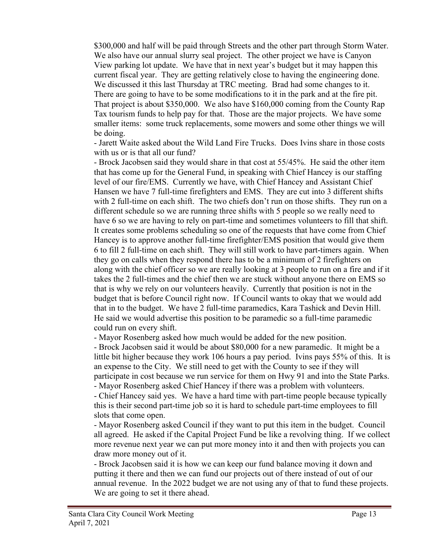\$300,000 and half will be paid through Streets and the other part through Storm Water. We also have our annual slurry seal project. The other project we have is Canyon View parking lot update. We have that in next year's budget but it may happen this current fiscal year. They are getting relatively close to having the engineering done. We discussed it this last Thursday at TRC meeting. Brad had some changes to it. There are going to have to be some modifications to it in the park and at the fire pit. That project is about \$350,000. We also have \$160,000 coming from the County Rap Tax tourism funds to help pay for that. Those are the major projects. We have some smaller items: some truck replacements, some mowers and some other things we will be doing.

- Jarett Waite asked about the Wild Land Fire Trucks. Does Ivins share in those costs with us or is that all our fund?

- Brock Jacobsen said they would share in that cost at 55/45%. He said the other item that has come up for the General Fund, in speaking with Chief Hancey is our staffing level of our fire/EMS. Currently we have, with Chief Hancey and Assistant Chief Hansen we have 7 full-time firefighters and EMS. They are cut into 3 different shifts with 2 full-time on each shift. The two chiefs don't run on those shifts. They run on a different schedule so we are running three shifts with 5 people so we really need to have 6 so we are having to rely on part-time and sometimes volunteers to fill that shift. It creates some problems scheduling so one of the requests that have come from Chief Hancey is to approve another full-time firefighter/EMS position that would give them 6 to fill 2 full-time on each shift. They will still work to have part-timers again. When they go on calls when they respond there has to be a minimum of 2 firefighters on along with the chief officer so we are really looking at 3 people to run on a fire and if it takes the 2 full-times and the chief then we are stuck without anyone there on EMS so that is why we rely on our volunteers heavily. Currently that position is not in the budget that is before Council right now. If Council wants to okay that we would add that in to the budget. We have 2 full-time paramedics, Kara Tashick and Devin Hill. He said we would advertise this position to be paramedic so a full-time paramedic could run on every shift.

- Mayor Rosenberg asked how much would be added for the new position.

- Brock Jacobsen said it would be about \$80,000 for a new paramedic. It might be a little bit higher because they work 106 hours a pay period. Ivins pays 55% of this. It is an expense to the City. We still need to get with the County to see if they will participate in cost because we run service for them on Hwy 91 and into the State Parks.

- Mayor Rosenberg asked Chief Hancey if there was a problem with volunteers. - Chief Hancey said yes. We have a hard time with part-time people because typically this is their second part-time job so it is hard to schedule part-time employees to fill slots that come open.

- Mayor Rosenberg asked Council if they want to put this item in the budget. Council all agreed. He asked if the Capital Project Fund be like a revolving thing. If we collect more revenue next year we can put more money into it and then with projects you can draw more money out of it.

- Brock Jacobsen said it is how we can keep our fund balance moving it down and putting it there and then we can fund our projects out of there instead of out of our annual revenue. In the 2022 budget we are not using any of that to fund these projects. We are going to set it there ahead.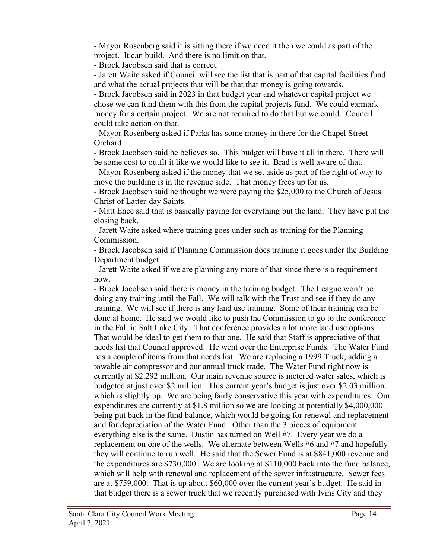- Mayor Rosenberg said it is sitting there if we need it then we could as part of the project. It can build. And there is no limit on that.

- Brock Jacobsen said that is correct.

- Jarett Waite asked if Council will see the list that is part of that capital facilities fund and what the actual projects that will be that that money is going towards.

- Brock Jacobsen said in 2023 in that budget year and whatever capital project we chose we can fund them with this from the capital projects fund. We could earmark money for a certain project. We are not required to do that but we could. Council could take action on that.

- Mayor Rosenberg asked if Parks has some money in there for the Chapel Street Orchard.

- Brock Jacobsen said he believes so. This budget will have it all in there. There will be some cost to outfit it like we would like to see it. Brad is well aware of that.

- Mayor Rosenberg asked if the money that we set aside as part of the right of way to move the building is in the revenue side. That money frees up for us.

- Brock Jacobsen said he thought we were paying the \$25,000 to the Church of Jesus Christ of Latter-day Saints.

- Matt Ence said that is basically paying for everything but the land. They have put the closing back.

- Jarett Waite asked where training goes under such as training for the Planning Commission.

- Brock Jacobsen said if Planning Commission does training it goes under the Building Department budget.

- Jarett Waite asked if we are planning any more of that since there is a requirement now.

- Brock Jacobsen said there is money in the training budget. The League won't be doing any training until the Fall. We will talk with the Trust and see if they do any training. We will see if there is any land use training. Some of their training can be done at home. He said we would like to push the Commission to go to the conference in the Fall in Salt Lake City. That conference provides a lot more land use options. That would be ideal to get them to that one. He said that Staff is appreciative of that needs list that Council approved. He went over the Enterprise Funds. The Water Fund has a couple of items from that needs list. We are replacing a 1999 Truck, adding a towable air compressor and our annual truck trade. The Water Fund right now is currently at \$2.292 million. Our main revenue source is metered water sales, which is budgeted at just over \$2 million. This current year's budget is just over \$2.03 million, which is slightly up. We are being fairly conservative this year with expenditures. Our expenditures are currently at \$1.8 million so we are looking at potentially \$4,000,000 being put back in the fund balance, which would be going for renewal and replacement and for depreciation of the Water Fund. Other than the 3 pieces of equipment everything else is the same. Dustin has turned on Well #7. Every year we do a replacement on one of the wells. We alternate between Wells #6 and #7 and hopefully they will continue to run well. He said that the Sewer Fund is at \$841,000 revenue and the expenditures are \$730,000. We are looking at \$110,000 back into the fund balance, which will help with renewal and replacement of the sewer infrastructure. Sewer fees are at \$759,000. That is up about \$60,000 over the current year's budget. He said in that budget there is a sewer truck that we recently purchased with Ivins City and they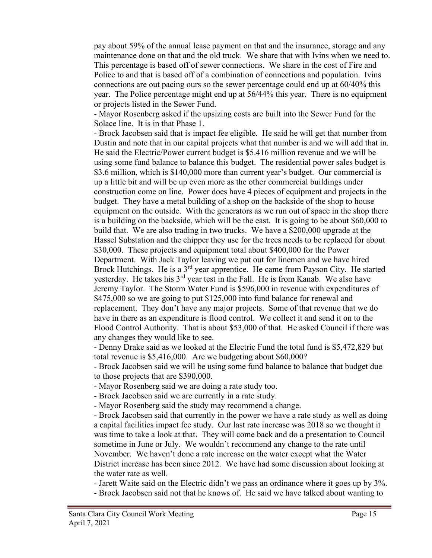pay about 59% of the annual lease payment on that and the insurance, storage and any maintenance done on that and the old truck. We share that with Ivins when we need to. This percentage is based off of sewer connections. We share in the cost of Fire and Police to and that is based off of a combination of connections and population. Ivins connections are out pacing ours so the sewer percentage could end up at 60/40% this year. The Police percentage might end up at 56/44% this year. There is no equipment or projects listed in the Sewer Fund.

- Mayor Rosenberg asked if the upsizing costs are built into the Sewer Fund for the Solace line. It is in that Phase 1.

- Brock Jacobsen said that is impact fee eligible. He said he will get that number from Dustin and note that in our capital projects what that number is and we will add that in. He said the Electric/Power current budget is \$5.416 million revenue and we will be using some fund balance to balance this budget. The residential power sales budget is \$3.6 million, which is \$140,000 more than current year's budget. Our commercial is up a little bit and will be up even more as the other commercial buildings under construction come on line. Power does have 4 pieces of equipment and projects in the budget. They have a metal building of a shop on the backside of the shop to house equipment on the outside. With the generators as we run out of space in the shop there is a building on the backside, which will be the east. It is going to be about \$60,000 to build that. We are also trading in two trucks. We have a \$200,000 upgrade at the Hassel Substation and the chipper they use for the trees needs to be replaced for about \$30,000. These projects and equipment total about \$400,000 for the Power Department. With Jack Taylor leaving we put out for linemen and we have hired Brock Hutchings. He is a 3<sup>rd</sup> year apprentice. He came from Payson City. He started yesterday. He takes his 3<sup>rd</sup> year test in the Fall. He is from Kanab. We also have Jeremy Taylor. The Storm Water Fund is \$596,000 in revenue with expenditures of \$475,000 so we are going to put \$125,000 into fund balance for renewal and replacement. They don't have any major projects. Some of that revenue that we do have in there as an expenditure is flood control. We collect it and send it on to the Flood Control Authority. That is about \$53,000 of that. He asked Council if there was any changes they would like to see.

- Denny Drake said as we looked at the Electric Fund the total fund is \$5,472,829 but total revenue is \$5,416,000. Are we budgeting about \$60,000?

- Brock Jacobsen said we will be using some fund balance to balance that budget due to those projects that are \$390,000.

- Mayor Rosenberg said we are doing a rate study too.

- Brock Jacobsen said we are currently in a rate study.

- Mayor Rosenberg said the study may recommend a change.

- Brock Jacobsen said that currently in the power we have a rate study as well as doing a capital facilities impact fee study. Our last rate increase was 2018 so we thought it was time to take a look at that. They will come back and do a presentation to Council sometime in June or July. We wouldn't recommend any change to the rate until November. We haven't done a rate increase on the water except what the Water District increase has been since 2012. We have had some discussion about looking at the water rate as well.

- Jarett Waite said on the Electric didn't we pass an ordinance where it goes up by 3%. - Brock Jacobsen said not that he knows of. He said we have talked about wanting to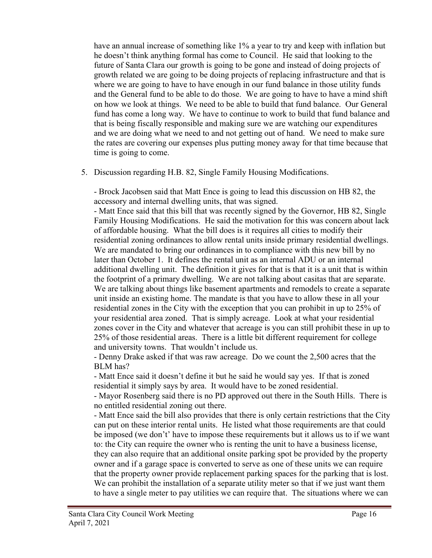have an annual increase of something like 1% a year to try and keep with inflation but he doesn't think anything formal has come to Council. He said that looking to the future of Santa Clara our growth is going to be gone and instead of doing projects of growth related we are going to be doing projects of replacing infrastructure and that is where we are going to have to have enough in our fund balance in those utility funds and the General fund to be able to do those. We are going to have to have a mind shift on how we look at things. We need to be able to build that fund balance. Our General fund has come a long way. We have to continue to work to build that fund balance and that is being fiscally responsible and making sure we are watching our expenditures and we are doing what we need to and not getting out of hand. We need to make sure the rates are covering our expenses plus putting money away for that time because that time is going to come.

5. Discussion regarding H.B. 82, Single Family Housing Modifications.

- Brock Jacobsen said that Matt Ence is going to lead this discussion on HB 82, the accessory and internal dwelling units, that was signed.

- Matt Ence said that this bill that was recently signed by the Governor, HB 82, Single Family Housing Modifications. He said the motivation for this was concern about lack of affordable housing. What the bill does is it requires all cities to modify their residential zoning ordinances to allow rental units inside primary residential dwellings. We are mandated to bring our ordinances in to compliance with this new bill by no later than October 1. It defines the rental unit as an internal ADU or an internal additional dwelling unit. The definition it gives for that is that it is a unit that is within the footprint of a primary dwelling. We are not talking about casitas that are separate. We are talking about things like basement apartments and remodels to create a separate unit inside an existing home. The mandate is that you have to allow these in all your residential zones in the City with the exception that you can prohibit in up to 25% of your residential area zoned. That is simply acreage. Look at what your residential zones cover in the City and whatever that acreage is you can still prohibit these in up to 25% of those residential areas. There is a little bit different requirement for college and university towns. That wouldn't include us.

- Denny Drake asked if that was raw acreage. Do we count the 2,500 acres that the BLM has?

- Matt Ence said it doesn't define it but he said he would say yes. If that is zoned residential it simply says by area. It would have to be zoned residential.

- Mayor Rosenberg said there is no PD approved out there in the South Hills. There is no entitled residential zoning out there.

- Matt Ence said the bill also provides that there is only certain restrictions that the City can put on these interior rental units. He listed what those requirements are that could be imposed (we don't' have to impose these requirements but it allows us to if we want to: the City can require the owner who is renting the unit to have a business license, they can also require that an additional onsite parking spot be provided by the property owner and if a garage space is converted to serve as one of these units we can require that the property owner provide replacement parking spaces for the parking that is lost. We can prohibit the installation of a separate utility meter so that if we just want them to have a single meter to pay utilities we can require that. The situations where we can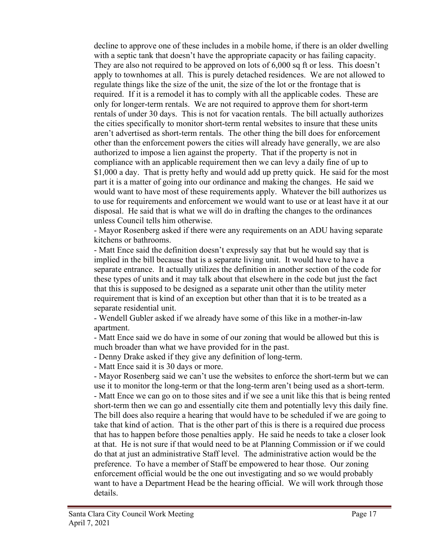decline to approve one of these includes in a mobile home, if there is an older dwelling with a septic tank that doesn't have the appropriate capacity or has failing capacity. They are also not required to be approved on lots of 6,000 sq ft or less. This doesn't apply to townhomes at all. This is purely detached residences. We are not allowed to regulate things like the size of the unit, the size of the lot or the frontage that is required. If it is a remodel it has to comply with all the applicable codes. These are only for longer-term rentals. We are not required to approve them for short-term rentals of under 30 days. This is not for vacation rentals. The bill actually authorizes the cities specifically to monitor short-term rental websites to insure that these units aren't advertised as short-term rentals. The other thing the bill does for enforcement other than the enforcement powers the cities will already have generally, we are also authorized to impose a lien against the property. That if the property is not in compliance with an applicable requirement then we can levy a daily fine of up to \$1,000 a day. That is pretty hefty and would add up pretty quick. He said for the most part it is a matter of going into our ordinance and making the changes. He said we would want to have most of these requirements apply. Whatever the bill authorizes us to use for requirements and enforcement we would want to use or at least have it at our disposal. He said that is what we will do in drafting the changes to the ordinances unless Council tells him otherwise.

- Mayor Rosenberg asked if there were any requirements on an ADU having separate kitchens or bathrooms.

- Matt Ence said the definition doesn't expressly say that but he would say that is implied in the bill because that is a separate living unit. It would have to have a separate entrance. It actually utilizes the definition in another section of the code for these types of units and it may talk about that elsewhere in the code but just the fact that this is supposed to be designed as a separate unit other than the utility meter requirement that is kind of an exception but other than that it is to be treated as a separate residential unit.

- Wendell Gubler asked if we already have some of this like in a mother-in-law apartment.

- Matt Ence said we do have in some of our zoning that would be allowed but this is much broader than what we have provided for in the past.

- Denny Drake asked if they give any definition of long-term.

- Matt Ence said it is 30 days or more.

- Mayor Rosenberg said we can't use the websites to enforce the short-term but we can use it to monitor the long-term or that the long-term aren't being used as a short-term. - Matt Ence we can go on to those sites and if we see a unit like this that is being rented short-term then we can go and essentially cite them and potentially levy this daily fine. The bill does also require a hearing that would have to be scheduled if we are going to take that kind of action. That is the other part of this is there is a required due process that has to happen before those penalties apply. He said he needs to take a closer look at that. He is not sure if that would need to be at Planning Commission or if we could do that at just an administrative Staff level. The administrative action would be the preference. To have a member of Staff be empowered to hear those. Our zoning enforcement official would be the one out investigating and so we would probably want to have a Department Head be the hearing official. We will work through those details.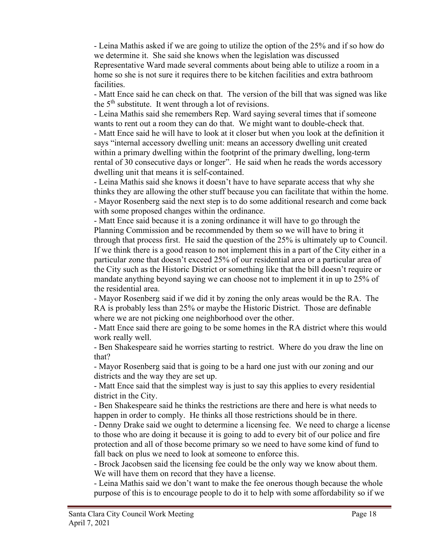- Leina Mathis asked if we are going to utilize the option of the 25% and if so how do we determine it. She said she knows when the legislation was discussed Representative Ward made several comments about being able to utilize a room in a home so she is not sure it requires there to be kitchen facilities and extra bathroom facilities.

- Matt Ence said he can check on that. The version of the bill that was signed was like the  $5<sup>th</sup>$  substitute. It went through a lot of revisions.

- Leina Mathis said she remembers Rep. Ward saying several times that if someone wants to rent out a room they can do that. We might want to double-check that. - Matt Ence said he will have to look at it closer but when you look at the definition it says "internal accessory dwelling unit: means an accessory dwelling unit created within a primary dwelling within the footprint of the primary dwelling, long-term rental of 30 consecutive days or longer". He said when he reads the words accessory dwelling unit that means it is self-contained.

- Leina Mathis said she knows it doesn't have to have separate access that why she thinks they are allowing the other stuff because you can facilitate that within the home. - Mayor Rosenberg said the next step is to do some additional research and come back with some proposed changes within the ordinance.

- Matt Ence said because it is a zoning ordinance it will have to go through the Planning Commission and be recommended by them so we will have to bring it through that process first. He said the question of the 25% is ultimately up to Council. If we think there is a good reason to not implement this in a part of the City either in a particular zone that doesn't exceed 25% of our residential area or a particular area of the City such as the Historic District or something like that the bill doesn't require or mandate anything beyond saying we can choose not to implement it in up to 25% of the residential area.

- Mayor Rosenberg said if we did it by zoning the only areas would be the RA. The RA is probably less than 25% or maybe the Historic District. Those are definable where we are not picking one neighborhood over the other.

- Matt Ence said there are going to be some homes in the RA district where this would work really well.

- Ben Shakespeare said he worries starting to restrict. Where do you draw the line on that?

- Mayor Rosenberg said that is going to be a hard one just with our zoning and our districts and the way they are set up.

- Matt Ence said that the simplest way is just to say this applies to every residential district in the City.

- Ben Shakespeare said he thinks the restrictions are there and here is what needs to happen in order to comply. He thinks all those restrictions should be in there.

- Denny Drake said we ought to determine a licensing fee. We need to charge a license to those who are doing it because it is going to add to every bit of our police and fire protection and all of those become primary so we need to have some kind of fund to fall back on plus we need to look at someone to enforce this.

- Brock Jacobsen said the licensing fee could be the only way we know about them. We will have them on record that they have a license.

- Leina Mathis said we don't want to make the fee onerous though because the whole purpose of this is to encourage people to do it to help with some affordability so if we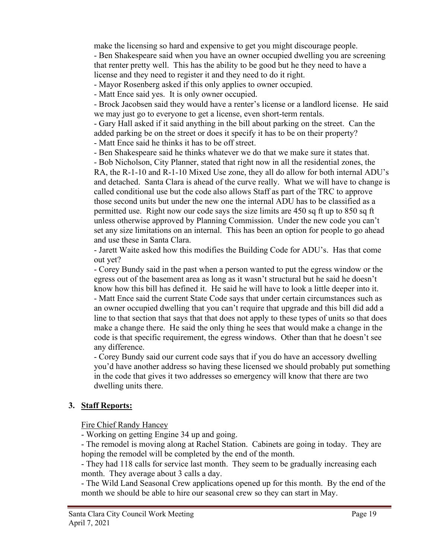make the licensing so hard and expensive to get you might discourage people. - Ben Shakespeare said when you have an owner occupied dwelling you are screening that renter pretty well. This has the ability to be good but he they need to have a license and they need to register it and they need to do it right.

- Mayor Rosenberg asked if this only applies to owner occupied.

- Matt Ence said yes. It is only owner occupied.

- Brock Jacobsen said they would have a renter's license or a landlord license. He said we may just go to everyone to get a license, even short-term rentals.

- Gary Hall asked if it said anything in the bill about parking on the street. Can the added parking be on the street or does it specify it has to be on their property?

- Matt Ence said he thinks it has to be off street.

- Ben Shakespeare said he thinks whatever we do that we make sure it states that.

- Bob Nicholson, City Planner, stated that right now in all the residential zones, the RA, the R-1-10 and R-1-10 Mixed Use zone, they all do allow for both internal ADU's and detached. Santa Clara is ahead of the curve really. What we will have to change is called conditional use but the code also allows Staff as part of the TRC to approve those second units but under the new one the internal ADU has to be classified as a permitted use. Right now our code says the size limits are 450 sq ft up to 850 sq ft unless otherwise approved by Planning Commission. Under the new code you can't set any size limitations on an internal. This has been an option for people to go ahead and use these in Santa Clara.

- Jarett Waite asked how this modifies the Building Code for ADU's. Has that come out yet?

- Corey Bundy said in the past when a person wanted to put the egress window or the egress out of the basement area as long as it wasn't structural but he said he doesn't know how this bill has defined it. He said he will have to look a little deeper into it. - Matt Ence said the current State Code says that under certain circumstances such as an owner occupied dwelling that you can't require that upgrade and this bill did add a line to that section that says that that does not apply to these types of units so that does make a change there. He said the only thing he sees that would make a change in the code is that specific requirement, the egress windows. Other than that he doesn't see any difference.

- Corey Bundy said our current code says that if you do have an accessory dwelling you'd have another address so having these licensed we should probably put something in the code that gives it two addresses so emergency will know that there are two dwelling units there.

# **3. Staff Reports:**

Fire Chief Randy Hancey

- Working on getting Engine 34 up and going.

- The remodel is moving along at Rachel Station. Cabinets are going in today. They are hoping the remodel will be completed by the end of the month.

- They had 118 calls for service last month. They seem to be gradually increasing each month. They average about 3 calls a day.

- The Wild Land Seasonal Crew applications opened up for this month. By the end of the month we should be able to hire our seasonal crew so they can start in May.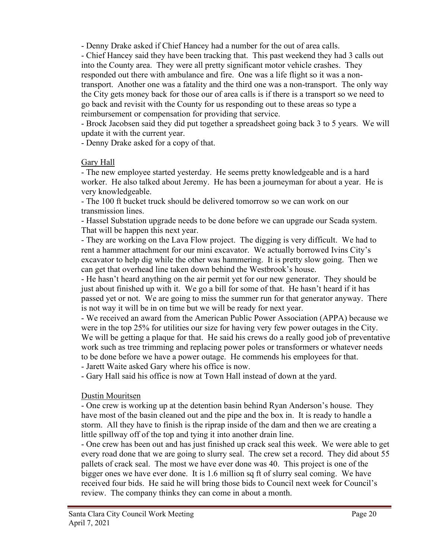- Denny Drake asked if Chief Hancey had a number for the out of area calls.

- Chief Hancey said they have been tracking that. This past weekend they had 3 calls out into the County area. They were all pretty significant motor vehicle crashes. They responded out there with ambulance and fire. One was a life flight so it was a nontransport. Another one was a fatality and the third one was a non-transport. The only way the City gets money back for those our of area calls is if there is a transport so we need to go back and revisit with the County for us responding out to these areas so type a reimbursement or compensation for providing that service.

- Brock Jacobsen said they did put together a spreadsheet going back 3 to 5 years. We will update it with the current year.

- Denny Drake asked for a copy of that.

### Gary Hall

- The new employee started yesterday. He seems pretty knowledgeable and is a hard worker. He also talked about Jeremy. He has been a journeyman for about a year. He is very knowledgeable.

- The 100 ft bucket truck should be delivered tomorrow so we can work on our transmission lines.

- Hassel Substation upgrade needs to be done before we can upgrade our Scada system. That will be happen this next year.

- They are working on the Lava Flow project. The digging is very difficult. We had to rent a hammer attachment for our mini excavator. We actually borrowed Ivins City's excavator to help dig while the other was hammering. It is pretty slow going. Then we can get that overhead line taken down behind the Westbrook's house.

- He hasn't heard anything on the air permit yet for our new generator. They should be just about finished up with it. We go a bill for some of that. He hasn't heard if it has passed yet or not. We are going to miss the summer run for that generator anyway. There is not way it will be in on time but we will be ready for next year.

- We received an award from the American Public Power Association (APPA) because we were in the top 25% for utilities our size for having very few power outages in the City. We will be getting a plaque for that. He said his crews do a really good job of preventative work such as tree trimming and replacing power poles or transformers or whatever needs to be done before we have a power outage. He commends his employees for that.

- Jarett Waite asked Gary where his office is now.

- Gary Hall said his office is now at Town Hall instead of down at the yard.

### Dustin Mouritsen

- One crew is working up at the detention basin behind Ryan Anderson's house. They have most of the basin cleaned out and the pipe and the box in. It is ready to handle a storm. All they have to finish is the riprap inside of the dam and then we are creating a little spillway off of the top and tying it into another drain line.

- One crew has been out and has just finished up crack seal this week. We were able to get every road done that we are going to slurry seal. The crew set a record. They did about 55 pallets of crack seal. The most we have ever done was 40. This project is one of the bigger ones we have ever done. It is 1.6 million sq ft of slurry seal coming. We have received four bids. He said he will bring those bids to Council next week for Council's review. The company thinks they can come in about a month.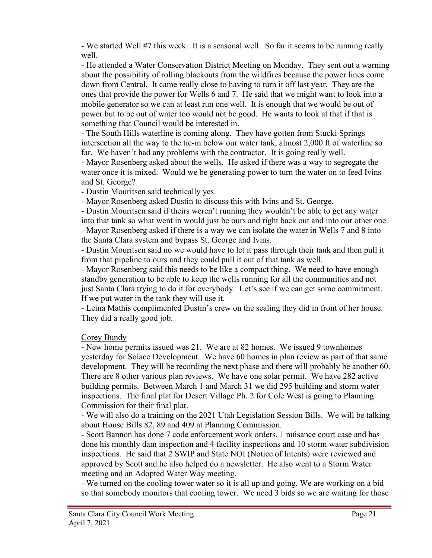- We started Well #7 this week. It is a seasonal well. So far it seems to be running really well.

- He attended a Water Conservation District Meeting on Monday. They sent out a warning about the possibility of rolling blackouts from the wildfires because the power lines come down from Central. It came really close to having to turn it off last year. They are the ones that provide the power for Wells 6 and 7. He said that we might want to look into a mobile generator so we can at least run one well. It is enough that we would be out of power but to be out of water too would not be good. He wants to look at that if that is something that Council would be interested in.

- The South Hills waterline is coming along. They have gotten from Stucki Springs intersection all the way to the tie-in below our water tank, almost 2,000 ft of waterline so far. We haven't had any problems with the contractor. It is going really well.

- Mayor Rosenberg asked about the wells. He asked if there was a way to segregate the water once it is mixed. Would we be generating power to turn the water on to feed Ivins and St. George?

- Dustin Mouritsen said technically yes.

- Mayor Rosenberg asked Dustin to discuss this with Ivins and St. George.

- Dustin Mouritsen said if theirs weren't running they wouldn't be able to get any water into that tank so what went in would just be ours and right back out and into our other one. - Mayor Rosenberg asked if there is a way we can isolate the water in Wells 7 and 8 into the Santa Clara system and bypass St. George and Ivins.

- Dustin Mouritsen said no we would have to let it pass through their tank and then pull it from that pipeline to ours and they could pull it out of that tank as well.

- Mayor Rosenberg said this needs to be like a compact thing. We need to have enough standby generation to be able to keep the wells running for all the communities and not just Santa Clara trying to do it for everybody. Let's see if we can get some commitment. If we put water in the tank they will use it.

- Leina Mathis complimented Dustin's crew on the sealing they did in front of her house. They did a really good job.

### Corey Bundy

- New home permits issued was 21. We are at 82 homes. We issued 9 townhomes yesterday for Solace Development. We have 60 homes in plan review as part of that same development. They will be recording the next phase and there will probably be another 60. There are 8 other various plan reviews. We have one solar permit. We have 282 active building permits. Between March 1 and March 31 we did 295 building and storm water inspections. The final plat for Desert Village Ph. 2 for Cole West is going to Planning Commission for their final plat.

- We will also do a training on the 2021 Utah Legislation Session Bills. We will be talking about House Bills 82, 89 and 409 at Planning Commission.

- Scott Bannon has done 7 code enforcement work orders, 1 nuisance court case and has done his monthly dam inspection and 4 facility inspections and 10 storm water subdivision inspections. He said that 2 SWIP and State NOI (Notice of Intents) were reviewed and approved by Scott and he also helped do a newsletter. He also went to a Storm Water meeting and an Adopted Water Way meeting.

- We turned on the cooling tower water so it is all up and going. We are working on a bid so that somebody monitors that cooling tower. We need 3 bids so we are waiting for those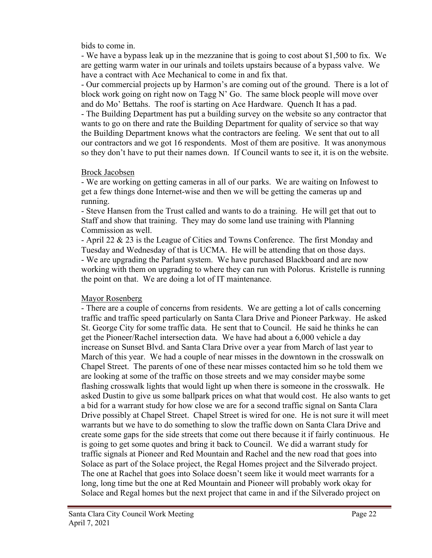bids to come in.

- We have a bypass leak up in the mezzanine that is going to cost about \$1,500 to fix. We are getting warm water in our urinals and toilets upstairs because of a bypass valve. We have a contract with Ace Mechanical to come in and fix that.

- Our commercial projects up by Harmon's are coming out of the ground. There is a lot of block work going on right now on Tagg N' Go. The same block people will move over and do Mo' Bettahs. The roof is starting on Ace Hardware. Quench It has a pad. - The Building Department has put a building survey on the website so any contractor that wants to go on there and rate the Building Department for quality of service so that way the Building Department knows what the contractors are feeling. We sent that out to all our contractors and we got 16 respondents. Most of them are positive. It was anonymous so they don't have to put their names down. If Council wants to see it, it is on the website.

### Brock Jacobsen

- We are working on getting cameras in all of our parks. We are waiting on Infowest to get a few things done Internet-wise and then we will be getting the cameras up and running.

- Steve Hansen from the Trust called and wants to do a training. He will get that out to Staff and show that training. They may do some land use training with Planning Commission as well.

- April 22 & 23 is the League of Cities and Towns Conference. The first Monday and Tuesday and Wednesday of that is UCMA. He will be attending that on those days. - We are upgrading the Parlant system. We have purchased Blackboard and are now working with them on upgrading to where they can run with Polorus. Kristelle is running the point on that. We are doing a lot of IT maintenance.

### Mayor Rosenberg

- There are a couple of concerns from residents. We are getting a lot of calls concerning traffic and traffic speed particularly on Santa Clara Drive and Pioneer Parkway. He asked St. George City for some traffic data. He sent that to Council. He said he thinks he can get the Pioneer/Rachel intersection data. We have had about a 6,000 vehicle a day increase on Sunset Blvd. and Santa Clara Drive over a year from March of last year to March of this year. We had a couple of near misses in the downtown in the crosswalk on Chapel Street. The parents of one of these near misses contacted him so he told them we are looking at some of the traffic on those streets and we may consider maybe some flashing crosswalk lights that would light up when there is someone in the crosswalk. He asked Dustin to give us some ballpark prices on what that would cost. He also wants to get a bid for a warrant study for how close we are for a second traffic signal on Santa Clara Drive possibly at Chapel Street. Chapel Street is wired for one. He is not sure it will meet warrants but we have to do something to slow the traffic down on Santa Clara Drive and create some gaps for the side streets that come out there because it if fairly continuous. He is going to get some quotes and bring it back to Council. We did a warrant study for traffic signals at Pioneer and Red Mountain and Rachel and the new road that goes into Solace as part of the Solace project, the Regal Homes project and the Silverado project. The one at Rachel that goes into Solace doesn't seem like it would meet warrants for a long, long time but the one at Red Mountain and Pioneer will probably work okay for Solace and Regal homes but the next project that came in and if the Silverado project on